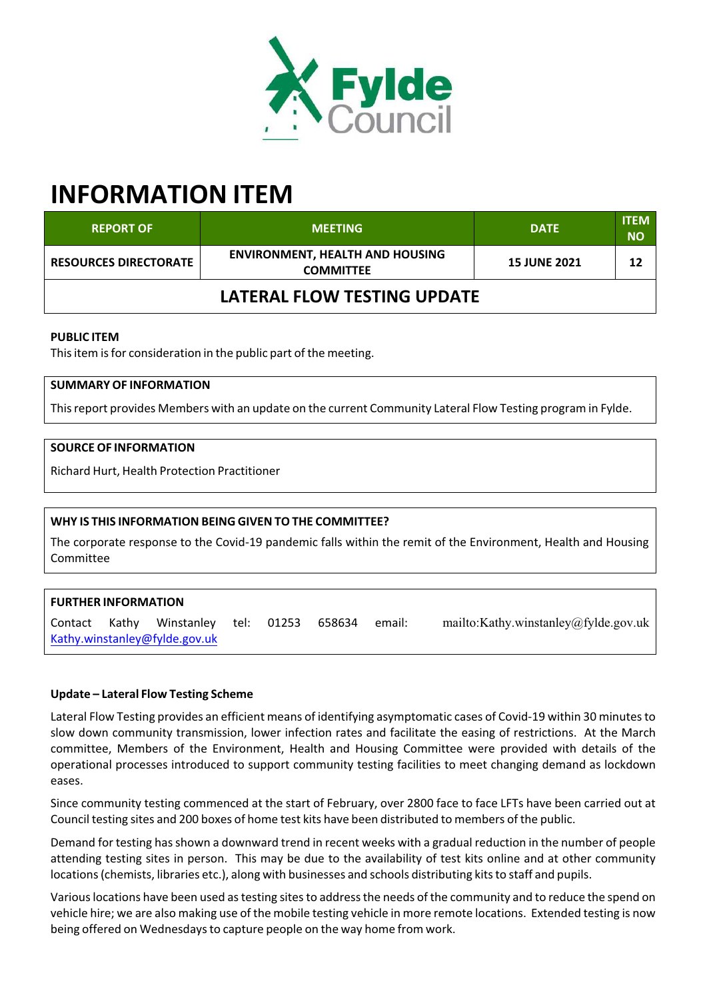

# **INFORMATION ITEM**

| <b>REPORT OF</b>             | <b>MEETING</b>                                             | <b>DATE</b>         | <b>ITEM</b><br><b>NO</b> |  |
|------------------------------|------------------------------------------------------------|---------------------|--------------------------|--|
| <b>RESOURCES DIRECTORATE</b> | <b>ENVIRONMENT, HEALTH AND HOUSING</b><br><b>COMMITTEE</b> | <b>15 JUNE 2021</b> | 12                       |  |
| LATERAL FLOW TESTING UPDATE  |                                                            |                     |                          |  |

# **PUBLIC ITEM**

This item is for consideration in the public part of the meeting.

# **SUMMARY OF INFORMATION**

Thisreport provides Members with an update on the current Community Lateral Flow Testing program in Fylde.

## **SOURCE OF INFORMATION**

Richard Hurt, Health Protection Practitioner

## **WHY IS THIS INFORMATION BEING GIVEN TO THE COMMITTEE?**

The corporate response to the Covid‐19 pandemic falls within the remit of the Environment, Health and Housing Committee

## **FURTHER INFORMATION**

Contact Kathy Winstanley tel: 01253 658634 email: mailto:Kathy.winstanley@fylde.gov.uk Kathy.winstanley@fylde.gov.uk

## **Update – Lateral Flow Testing Scheme**

Lateral Flow Testing provides an efficient means of identifying asymptomatic cases of Covid‐19 within 30 minutesto slow down community transmission, lower infection rates and facilitate the easing of restrictions. At the March committee, Members of the Environment, Health and Housing Committee were provided with details of the operational processes introduced to support community testing facilities to meet changing demand as lockdown eases.

Since community testing commenced at the start of February, over 2800 face to face LFTs have been carried out at Council testing sites and 200 boxes of home test kits have been distributed to members of the public.

Demand for testing hasshown a downward trend in recent weeks with a gradual reduction in the number of people attending testing sites in person. This may be due to the availability of test kits online and at other community locations (chemists, libraries etc.), along with businesses and schools distributing kits to staff and pupils.

Variouslocations have been used astesting sitesto addressthe needs of the community and to reduce the spend on vehicle hire; we are also making use of the mobile testing vehicle in more remote locations. Extended testing is now being offered on Wednesdaysto capture people on the way home from work.